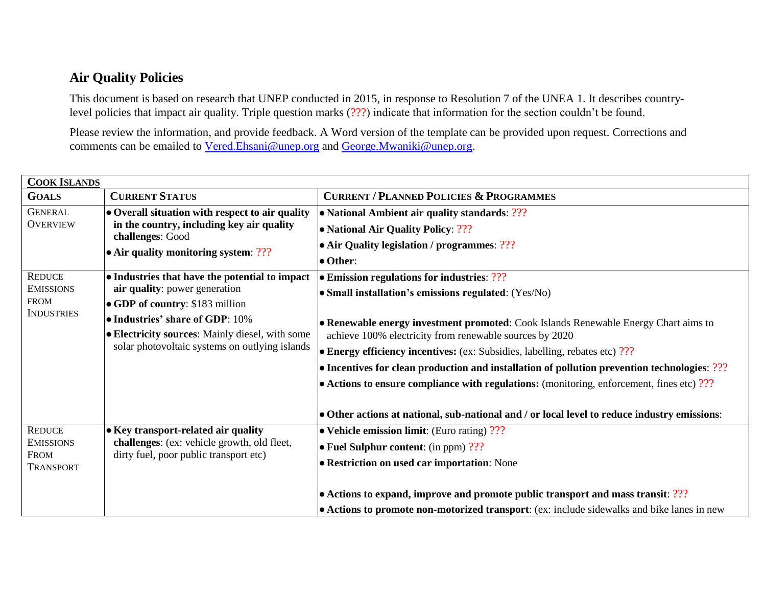## **Air Quality Policies**

This document is based on research that UNEP conducted in 2015, in response to Resolution 7 of the UNEA 1. It describes countrylevel policies that impact air quality. Triple question marks (???) indicate that information for the section couldn't be found.

Please review the information, and provide feedback. A Word version of the template can be provided upon request. Corrections and comments can be emailed to [Vered.Ehsani@unep.org](mailto:Vered.Ehsani@unep.org) and [George.Mwaniki@unep.org.](mailto:George.Mwaniki@unep.org)

| <b>COOK ISLANDS</b>                                                   |                                                                                                                              |                                                                                                   |  |
|-----------------------------------------------------------------------|------------------------------------------------------------------------------------------------------------------------------|---------------------------------------------------------------------------------------------------|--|
| <b>GOALS</b>                                                          | <b>CURRENT STATUS</b>                                                                                                        | <b>CURRENT / PLANNED POLICIES &amp; PROGRAMMES</b>                                                |  |
| <b>GENERAL</b>                                                        | • Overall situation with respect to air quality                                                                              | • National Ambient air quality standards: ???                                                     |  |
| <b>OVERVIEW</b>                                                       | in the country, including key air quality<br>challenges: Good<br>• Air quality monitoring system: $??$ ?                     | • National Air Quality Policy: ???                                                                |  |
|                                                                       |                                                                                                                              | • Air Quality legislation / programmes: ???                                                       |  |
|                                                                       |                                                                                                                              | • Other:                                                                                          |  |
| <b>REDUCE</b><br><b>EMISSIONS</b><br><b>FROM</b><br><b>INDUSTRIES</b> | • Industries that have the potential to impact                                                                               | • Emission regulations for industries: ???                                                        |  |
|                                                                       | air quality: power generation                                                                                                | • Small installation's emissions regulated: (Yes/No)                                              |  |
|                                                                       | • GDP of country: \$183 million                                                                                              |                                                                                                   |  |
|                                                                       | • Industries' share of GDP: 10%                                                                                              | • Renewable energy investment promoted: Cook Islands Renewable Energy Chart aims to               |  |
|                                                                       | • Electricity sources: Mainly diesel, with some<br>solar photovoltaic systems on outlying islands                            | achieve 100% electricity from renewable sources by 2020                                           |  |
|                                                                       |                                                                                                                              | • Energy efficiency incentives: (ex: Subsidies, labelling, rebates etc) ???                       |  |
|                                                                       |                                                                                                                              | • Incentives for clean production and installation of pollution prevention technologies: ???      |  |
|                                                                       |                                                                                                                              | $\bullet$ Actions to ensure compliance with regulations: (monitoring, enforcement, fines etc) ??? |  |
|                                                                       |                                                                                                                              |                                                                                                   |  |
|                                                                       |                                                                                                                              | • Other actions at national, sub-national and / or local level to reduce industry emissions:      |  |
| <b>REDUCE</b><br><b>EMISSIONS</b><br>FROM<br><b>TRANSPORT</b>         | • Key transport-related air quality<br>challenges: (ex: vehicle growth, old fleet,<br>dirty fuel, poor public transport etc) | • Vehicle emission limit: (Euro rating) ???                                                       |  |
|                                                                       |                                                                                                                              | • Fuel Sulphur content: (in ppm) $?$ ?                                                            |  |
|                                                                       |                                                                                                                              | <b>• Restriction on used car importation:</b> None                                                |  |
|                                                                       |                                                                                                                              |                                                                                                   |  |
|                                                                       |                                                                                                                              | • Actions to expand, improve and promote public transport and mass transit: ???                   |  |
|                                                                       |                                                                                                                              | • Actions to promote non-motorized transport: (ex: include sidewalks and bike lanes in new        |  |